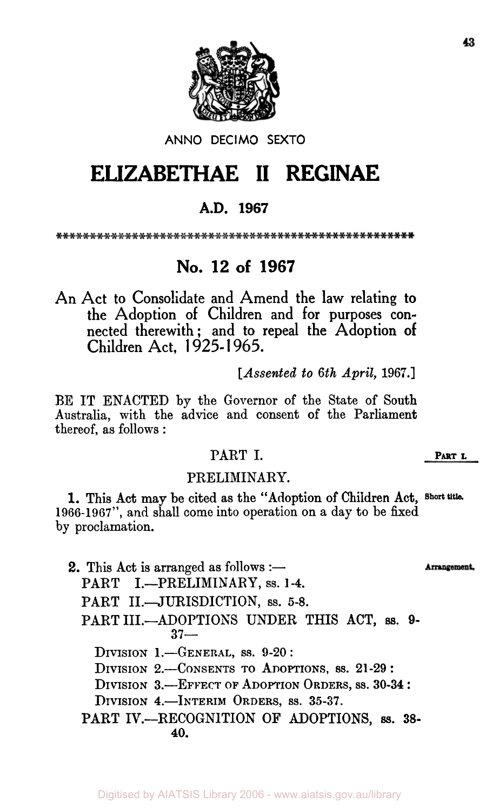

### ANN0 DECIMO **SEXTO**

# **ELIZABETHAE II RECINAE**

### **A.D. 1967**

## **No. 12 of 1967**

An Act to Consolidate and Amend the law relating to the Adoption of Children and for purposes connected therewith; and to repeal the Adoption of Children Act, **1** 925- **1** 965.

*[Assented to 6th April,* **1967.]** 

BE IT ENACTED by the Governor of the State of South Australia, with the advice and consent of the Parliament thereof, as follows :

### PART I. **PART L**

#### PRELIMINARY.

**1966-1967",** and shall come into operation on a day to be fixed by proclamation. 1. This Act may be cited as the "Adoption of Children Act, **Short title.** 

**2.** This Act is arranged as follows :-Arrangement. PART I.-PRELIMINARY, ss. 1-4. PART II.-JURISDICTION, ss. 5-8. PART III.-ADOPTIONS UNDER THIS ACT, ss. 9-**37-**  DIVISION **I.-GENERAL,** SS. **9-20** : DIVISION **8.-CONSENTS** TO **ADOPTIONS, 89.** 21-29 : DIVISION 3.-EFFECT OF ADOPTION **ORDERS, SS.** 30-34 : DIVISION 4.-INTERIM **ORDERS, 63. 35-37.**  PART IV.-RECOGNITION OF ADOPTIONS, ss. 38-**40.**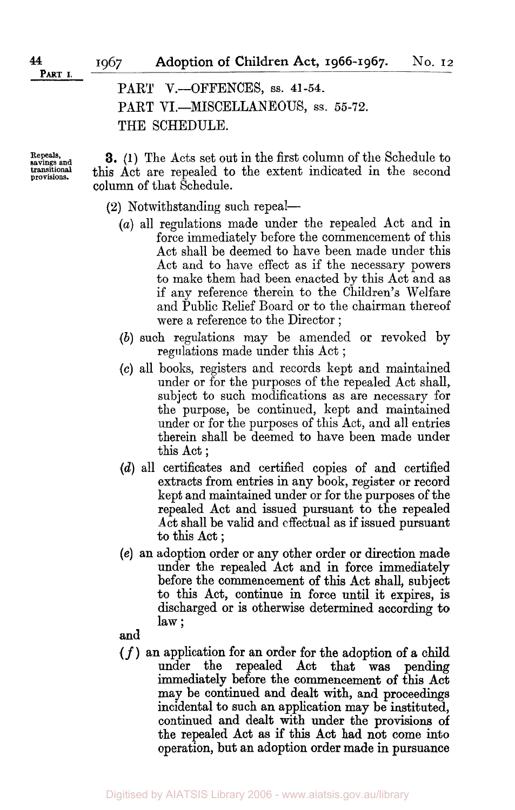**PART I.** 

PART V.-OFFENCES, ss. 41-54. PART VI.-MISCELLANEOUS, ss. 55-72. THE SCHEDULE.

**Repeals, savings and transitional provisions.** 

**3. (1)** The Acts set out in the first column of the Schedule to this Act are repealed to the extent indicated in the second column of that Schedule.

- (2) Notwithstanding such repeal-
	- *(a)* all regulations made under the repealed Act and in force immediately before the commencement of this Act shall be deemed to have been made under this Act and to have effect as if the necessary powers to make them had been enacted by this Act and as if any reference therein to the Children's Welfare and Public Relief Board or to the chairman thereof were a reference to the Director ;
	- *(b)* such regulations may be amended or revoked by regulations made under this Act ;
	- *(c)* all books, registers and records kept and maintained under or for the purposes of the repealed Act shall, subject to such modifications as are necessary for the purpose, be continued, kept and maintained under or for the purposes of this Act, and all entries therein shall be deemed to have been made under this Act ;
	- *(d)* all certificates and certified copies of and certified extracts from entries in any book, register or record kept and maintained under or for the purposes of the repealed Act and issued pursuant to the repealed Act shall be valid and effectual as if issued pursuant to this Act ;
	- **(e)** an adoption order or any other order or direction made under the repealed Act and in force immediately before the commencement of this Act shall, subject to this Act, continue in force until it expires, is discharged or is otherwise determined according to law ;
	- and
	- $(f)$  an application for an order for the adoption of a child<br>under the repealed  $\Delta$  act that was pending under the repealed Act that was immediately before the commencement of this Act may be continued and dealt with, and proceedmgs incidental to such an application may be instituted, continued and dealt with under the provisions **of**  the repealed Act as if this Act had not come into operation, but **an** adoption order made in pursuance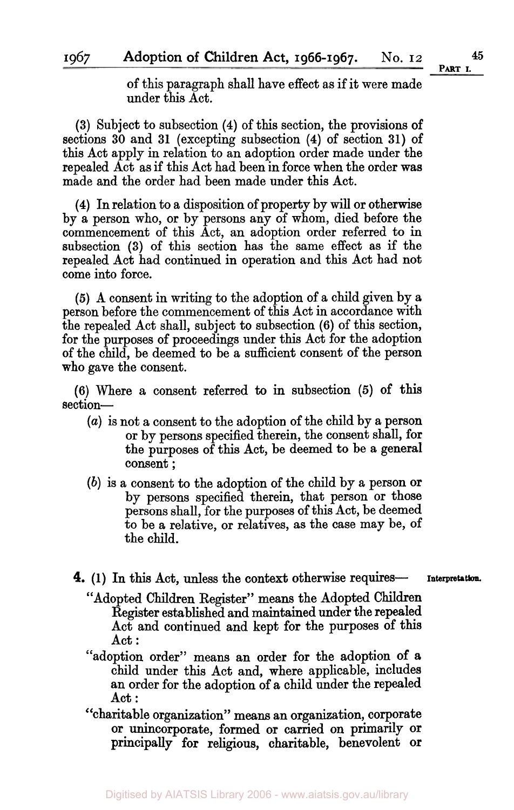1967

of this paragraph shall have effect as if it were made under this Act.

**(3)** Subject to subsection **(4)** of this section, the provisions of sections **30** and **31** (excepting subsection **(4)** of section **31)** of this Act apply in relation to an adoption order made under the repealed Act as if this Act had been in force when the order was made and the order had been made under this Act.

**(4)** In relation to a disposition of property by will or otherwise by a person who, or by persons any of whom, died before the commencement of this Act, an adoption order referred to in subsection **(3)** of this section has the same effect as if the repealed Act had continued in operation and this Act had not come into force.

*(5)* A consent in writing to the adoption of a child given by a person before the commencement of this Act in accordance with the repealed Act shall, subject to subsection **(6)** of this section, for the purposes of proceedings under this Act for the adoption of the child, be deemed to be a sufficient consent of the person who gave the consent.

**(6)** Where a consent referred to in subsection *(5)* of this section-

- *(a)* is not a consent to the adoption of the child by a person or by persons specified therein, the consent shall, **for**  the purposes of this Act, be deemed to be a general consent ;
- *(b)* is a consent to the adoption of the child by a person or by persons specified therein, that person or those persons shall, for the purposes of this Act, be deemed to be a relative, or relatives, as the case may be, of the child.
- **4.** (1) In this Act, unless the context otherwise requires- Interpretation.
	-
	- "Adopted Children Register" means the Adopted Children Register established and maintained under the repealed Act and continued and kept for the purposes of this Act :
	- "adoption order" means an order for the adoption **of a**  child under this Act and, where applicable, includes an order for the adoption of **a** child under the repealed Act :
	- charitable organization" means an organization, corporate **"**  or unincorporate, formed or carried on primarily or principally **for** religlous, charitable, benevolent or

**PART I.**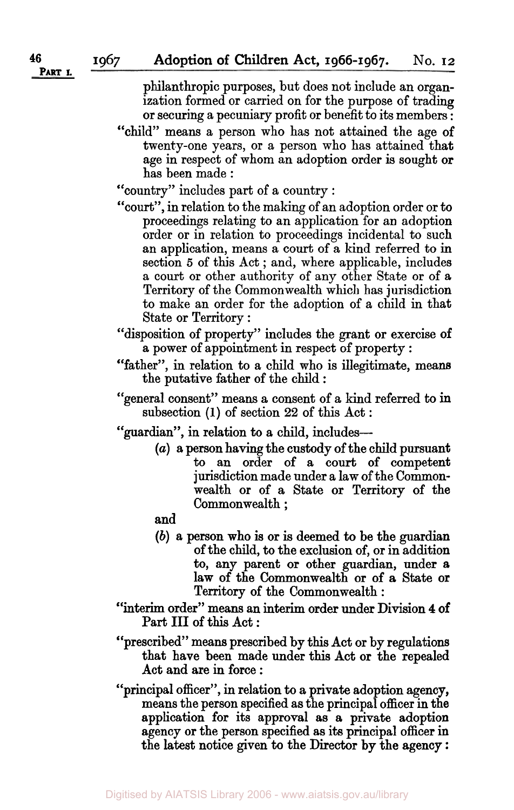philanthropic purposes, but does not include an organization formed or carried on for the purpose of trading or securing a pecuniary profit or benefit to its members :

"child" means a person who has not attained the age of twenty-one years, or a person who has attained that age in respect of whom an adoption order is sought or has been made :

"country" includes part of a country :

- "court", in relation to the making of an adoption order or to proceedings relating to **an** application for an adoption order or in relation to proceedings incidental to such an application, means a court of a kind referred to in section *5* of this Act ; and, where applicable, includes a court or other authority of any other State or of *8*  Territory of the Commonwealth which has jurisdiction to make an order for the adoption of a child in that State or Territory :
- "disposition of property" includes the grant or exercise **of**  a power of appointment in respect of property :
- "father", in relation to a child who is illegitimate, means the putative father of the child :
- "general consent" means a consent of a kind referred to **in**  subsection **(1)** of section **22** of this Act :

"guardian", in relation to a child, includes---

*(a)* a person having the custody **of** the child pursuant to an order of a court of competent jurisdiction made under a law of the Commonwealth **or** of a State or Territory of the Commonwealth ;

and

- **(b)** a person who **is** or is deemed to be the guardian of the child, to the exclusion of, or in addition to, any parent or other guardian, under a law **of** the Commonwealth **or** of **a State** or Territory **of** the Commonwealth :
- **"interim** order" means **an** interim order under Division **4 of**  Part **III** of this Act :
- "prescribed" means prescribed by this Act **or** by regulations that have been made under this Act or the repealed Act and are in force :
- "principal officer", in relation to *a* private adoption agency, means the person specified as the principal officer in the application for its approval as a private adoption agency or the person specified as its principal officer in the latest notice given to the Director **by** the agency :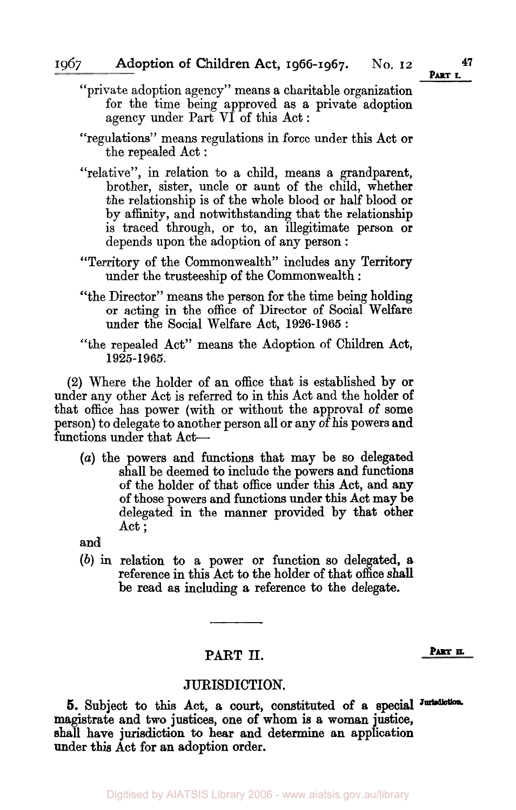- "private adoption agency" means a charitable organization for the time being approved as a private adoption agency under Part VI of this Act :
- "regulations" means regulations in force under this Act **or**  the repealed Act :
- "relative", in relation to a child, means a grandparent, brother, sister, uncle or aunt of the child, whether the relationship is of the whole blood or half blood **or**  by affinity, and notwithstanding that the relationship is traced through, or to, an illegitimate person **or**  depends upon the adoption of any person :
- "Territory of the Commonwealth" includes any Territory under the trusteeship of the Commonwealth :
- "the Director" means the person for the time being holding or acting in the office of Director of Social Welfare under the Social Welfare Act, **1926-1965** :
- "the repealed Act'' means the Adoption of Children Act, **1925-1965.**

**(2)** Where the holder of an office that is established by **or**  under any other Act is referred to in this Act and the holder of that office has power (with or without the approval of some person) to delegate to another person all or any of his powers and functions under that Act-

*(a)* the powers and functions that may be so delegated shall be deemed to include the powers and functions of the holder of that office under this Act, and any of those powers and functions under this Act may be delegated in the manner provided by that other Act ;

and

*(b)* in relation to a power **or** function so delegated, a reference in this Act to the holder of that office **shall**  be read as including a reference to the delegate.

### PART II. PART **II.**

#### JURISDICTION.

magistrate and two justices, **one** of whom is a woman justice, shall have jurisdiction to **hear** and determine an application under this Act for an adoption order. **5.** Subject to this Act, a **court,** constituted of a special **Jurisduction.**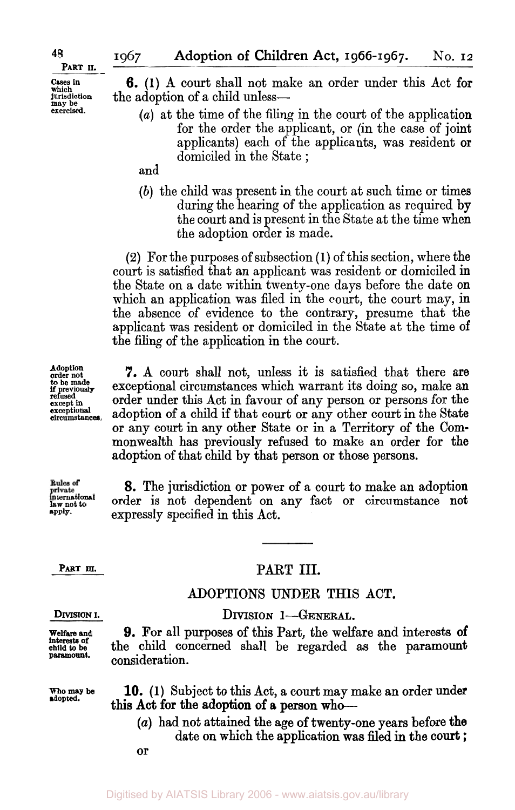**Cases in which. jurisdiction may be exercised.** 

**48** 

**6.** (1) A court shall not make an order under this Act **for**  the adoption of a child unless-

- *(a)* at the time of the filing in the court of the application for the order the applicant, or (in the case of joint applicants) each of the applicants, was resident **or**  domiciled in the State ;
- and
- *(b)* the child was present in the court at such time or times during the hearing of the application as required by the court and is present in the State at the time when the adoption order is made.

**(2)** For the purposes of subsection **(1)** of this section, where the court is satisfied that an applicant was resident or domiciled in the State on a date within twenty-one days before the date on which an application was filed in the court, the court may, **in**  the absence of evidence to the contrary, presume that the applicant was resident or domiciled in the State at the time of the filing of the application in the court.

7. A court shall not, unless it is satisfied that there are exceptional circumstances which warrant its doing so, make an order under this Act in favour of any person or persons for the adoption of a child if that court or any other court in the State or any court in any other State or in a Territory of the Commonwealth has previously refused to make an order for the adoption of that child by that person or those persons.

Rules of **international law not** *to*  **apply.** 

**8.** The jurisdiction or power of a court to make an adoption order is not dependent on any fact or circumstance not expressly specified in this Act.

#### PART III.

### ADOPTIONS UNDER THIS ACT. DIVISION 1-GENERAL.

**9. For** all purposes of this Part, the welfare and interests **of**  the child concerned shall be regarded as the paramount

#### **DIVISION I.**

PART III.

**Welfare and**  interests **of child** *to* **be paramount.** 

**who may be adopted.** 

- **10.** (1) Subject to this Act, a court may make an order under this Act for the adoption of a person who-
	- *(a)* had not attained the age **of** twenty-one years before **the**  date on which the application was filed in the **court** ;

**or** 

consideration.

**Adoption order not to be made if previously refused except in exceptional circumstances.**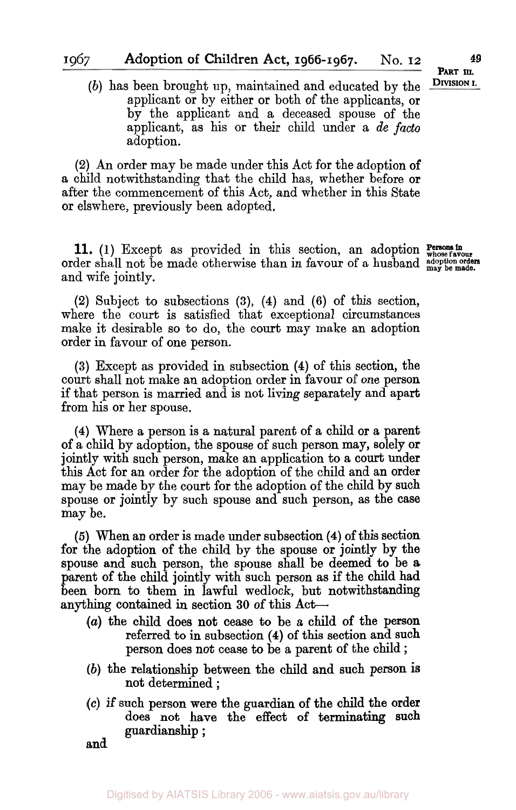*(b)* has been brought up, maintained and educated by the applicant or by either or both of the applicants, or by the applicant and a deceased spouse of the applicant, as his or their child under a *de facto*  adoption.

**(2)** An order may be made under this Act for the adoption of a child notwithstanding that the child has, whether before or after the commencement of this Act, and whether in this State or elswhere, previously been adopted.

11. **Persons in (1)** Except as provided in this section, an adoption **whose favour**  order shall not be made otherwise than in favour of a husband  $\frac{adj}{\text{mag}}$  be made. and wife jointly.

**(2)** Subject to subsections **(3), (4)** and **(6)** of this section, where the **court** is satisfied that exceptional circumstances make it desirable so to do, the court may make an adoption order in favour of one person.

**(3)** Except as provided in subsection **(4)** of this section, the court shall not make an adoption order in favour of one person if that person is married and is not living separately and apart from his or her spouse.

**(4)** Where a person is a natural parent of a child or a parent of a child by adoption, the spouse of such person may, solely or jointly with such person, make an application to a court under this Act for an order for the adoption of the child and an order may be made by the court for the adoption of the child by such spouse or jointly by such spouse and such person, as the case may be.

*(5)* When an order is made under subsection **(4)** of this section for the adoption of the child by the spouse or jointly by the spouse and such person, the spouse shall be deemed to be **a**  parent of the child jointly with such person as if the child had been born to them in lawful wedlock, but notwithstanding anything contained in section **30** of this Act-

- *(a)* the child does not cease to be a child of the person referred to in subsection **(4)** of this section and such person does not cease to be a parent of the child ;
- *(b)* the relationship between the child and such person not determined ;
- *(c)* if such person were the guardian of the child the order does not have the effect of terminating such guardianship ;

and

PART III. **DIVISION I.**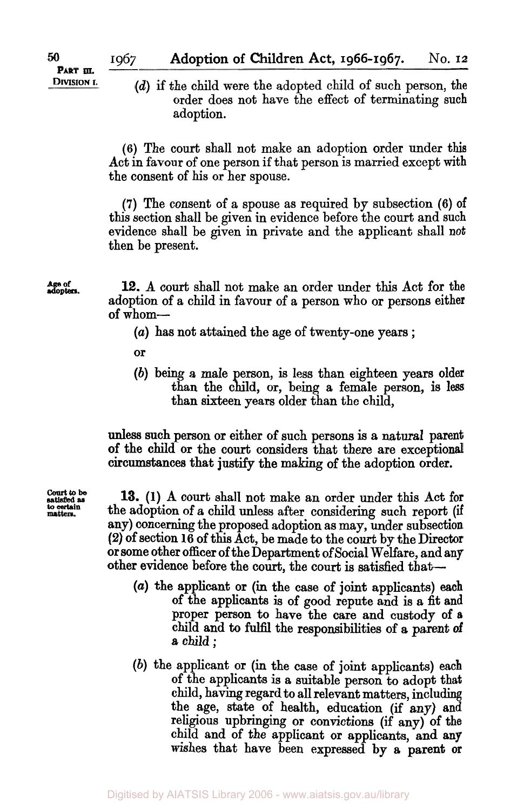PART III. **DIVISION I.** 

*(d)* if the child were the adopted child of such person, the order does not have the effect of terminating such adoption.

**(6)** The court shall not make an adoption order under this Act in favour of one person if that person is married except with the consent of his or her spouse.

**(7)** The consent of a spouse as required by subsection (6) of this section shall be given in evidence before the court and such evidence shall be given in private and the applicant shall not then be present.

Age of **12.** A court shall not make an order under this Act for the adoption of a child in favour of a person who **or** persons either of whom-

- *(a)* has not attained the age of twenty-one years ;
- **or**
- *(b)* being a male person, is less than eighteen years older than the child, **or,** being a female person, is **less**  than sixteen years older than the child,

unless such person **or** either of such persons is a natural parent of the child **or** the court considers that there are exceptional circumstances that **justify** the making of the adoption order.

**Court to be** 

**13. (1)** A court shall not make an order under this Act for any) concerning the proposed adoption as may, under subsection **(2)** of section **16** of this Act, be made to the court by the Director **or** some other officer **of** the Department of Social Welfare, and any other evidence before the court, the court is satisfied that to certain the adoption of a child unless after considering such report (if

- *(a)* the applicant **or** (in the case of joint applicants) each of the applicants is of good repute and is a fit and proper person to have the care and custody **of a**  child and to fulfil the responsibilities of *a* parent **of**  a child ;
- *(b)* the applicant **or** (in the case of joint applicants) each of the applicants is a suitable person to adopt that child, having regard to all relevant matters, including the age, state of health, education (if any) **and**  religious upbringing or convictions (if **any)** of the child and of the applicant **or** applicants, and **any**  wishes that have been expressed by **a** parent **or**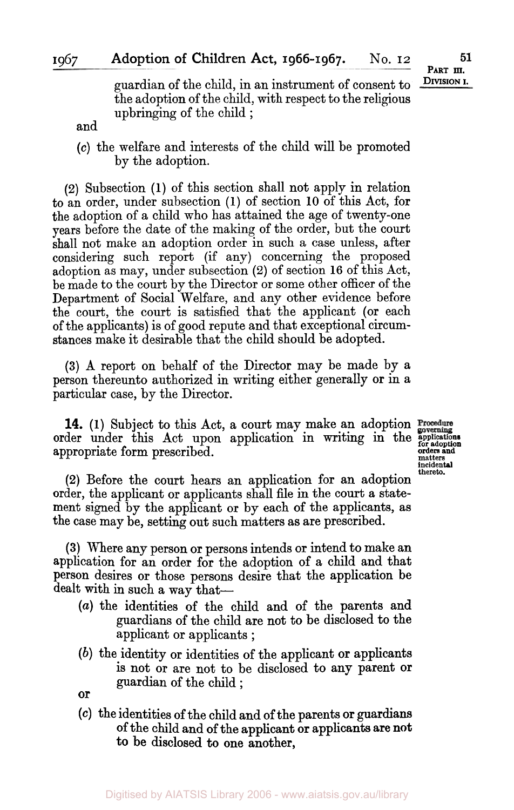**PART III.**<br>DIVISION I.

guardian of the child, in an instrument of consent to the adoption of the child, with respect to the religious upbringing of the child ;

and

*(c)* the welfare and interests of the child will be promoted by the adoption.

**(2)** Subsection **(1)** of this section shall not apply in relation to an order, under subsection **(1)** of section **10** of this Act, for the adoption of a child who has attained the age of twenty-one years before the date of the making of the order, but the court shall not make an adoption order in such a case unless, after considering such report (if any) concerning the proposed adoption as may, under subsection **(2)** of section **16** of this Act, be made to the court by the Director or some other officer of the Department of Social Welfare, and any other evidence before the court, the court is satisfied that the applicant (or each of the applicants) is of good repute and that exceptional circumstances make it desirable that the child should be adopted.

**(3) A** report on behalf of the Director may be made by a person thereunto authorized in writing either generally **or** in a particular case, by the Director.

**14. (1)** Subject to this Act, a court may make an adoption order under this Act upon application in writing in the *applications for adoption*  **orders and** appropriate form prescribed. **matters incidental** 

**thereto.** 

**(2)** Before the court hears an application for an adoption order, the applicant or applicants shall file in the court a statement signed by the applicant or by each of the applicants, as the case may be, setting out such matters as are prescribed.

**(3)** Where any person or persons intends or intend to make an application for an order for the adoption of a child and that person desires or those persons desire that the application be dealt with in such a way that-

- *(a)* the identities of the child and of the parents and guardians of the child are not to be disclosed to the applicant or applicants ;
- *(b)* the identity or identities of the applicant or applicants is not or are not to be disclosed to any parent **or**  guardian of the child ;

**or** 

**(C)** the identities of the child and of the parents **or** guardians of the child and of the applicant **or** applicants **are not to be** disclosed to one another,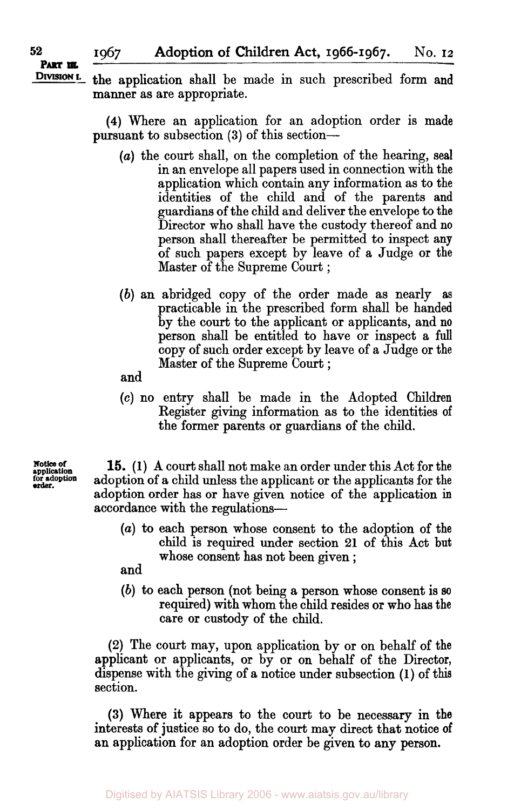#### **<sup>52</sup>1967 Adoption of Children Act, 1966-1967. No. 12**  PART III.

DIVISION I. the application shall be made in such prescribed form and manner as are appropriate.

> **(4)** Where an application for an adoption order is made pursuant to subsection **(3)** of this section-

- *(a)* the court shall, on the completion of the hearing, seal in an envelope all papers used in connection with the application which contain any information as to the identities of the child and of the parents and guardians of the child and deliver the envelope to the Director who shall have the custody thereof and **no**  person shall thereafter be permitted to inspect any of such papers except by leave of a Judge **or** the Master of the Supreme Court ;
- *(b)* an abridged copy of the order made as nearly **as**  practicable in the prescribed form shall be handed by the court to the applicant **or** applicants, and **no**  person shall be entitled to have or inspect a full copy of such order except by leave of a Judge or the Master of the Supreme Court ;
- and
- *(c)* no entry shall be made in the Adopted Children Register giving information as to the identities of the former parents or guardians **of** the child.

**application Notice of**  order. **for adoption** 

**15. (1) A** court shall not make an order under this Act for the adoption of a child unless the applicant or the applicants for the adoption order has **or** have given notice of the application in accordance with the regulations-

- *(a)* to each person whose consent to the adoption of the child is required under section **21** of this Act but whose consent has not been given ;
- and
- *(b)* to each person (not being a person whose consent is *so*  required) with whom the child resides **or** who has the care or custody of the child.

**(2)** The court may, upon application by or on behalf of the applicant or applicants, or by **or** on behalf of the Director, dispense with the giving of a notice under subsection **(1) of** this section.

**(3)** Where it appears to the court to be necessary in the interests **of** justice so to do, the court may direct that notice **of**  an application for an adoption order be given to any **person.**